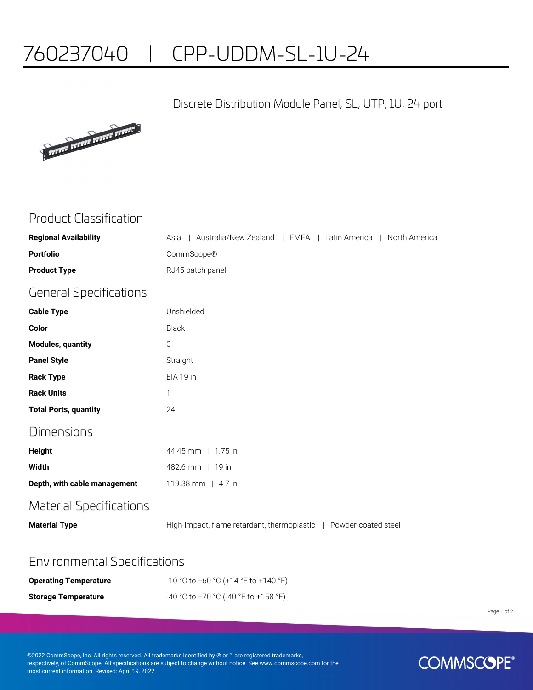# 760237040 | CPP-UDDM-SL-1U-24

#### Discrete Distribution Module Panel, SL, UTP, 1U, 24 port



### Product Classification

| <b>Regional Availability</b>   | Australia/New Zealand   EMEA   Latin America   North America<br>Asia |
|--------------------------------|----------------------------------------------------------------------|
| <b>Portfolio</b>               | CommScope®                                                           |
| <b>Product Type</b>            | RJ45 patch panel                                                     |
| <b>General Specifications</b>  |                                                                      |
| <b>Cable Type</b>              | Unshielded                                                           |
| Color                          | <b>Black</b>                                                         |
| <b>Modules, quantity</b>       | $\overline{0}$                                                       |
| <b>Panel Style</b>             | Straight                                                             |
| <b>Rack Type</b>               | EIA 19 in                                                            |
| <b>Rack Units</b>              | 1                                                                    |
| <b>Total Ports, quantity</b>   | 24                                                                   |
| Dimensions                     |                                                                      |
| <b>Height</b>                  | 44.45 mm   1.75 in                                                   |
| <b>Width</b>                   | 482.6 mm   19 in                                                     |
| Depth, with cable management   | 119.38 mm   4.7 in                                                   |
| <b>Material Specifications</b> |                                                                      |
| <b>Material Type</b>           | High-impact, flame retardant, thermoplastic   Powder-coated steel    |
|                                |                                                                      |

#### Environmental Specifications

| <b>Operating Temperature</b> | $-10$ °C to +60 °C (+14 °F to +140 °F) |
|------------------------------|----------------------------------------|
| <b>Storage Temperature</b>   | -40 °C to +70 °C (-40 °F to +158 °F)   |

Page 1 of 2

©2022 CommScope, Inc. All rights reserved. All trademarks identified by ® or ™ are registered trademarks, respectively, of CommScope. All specifications are subject to change without notice. See www.commscope.com for the most current information. Revised: April 19, 2022